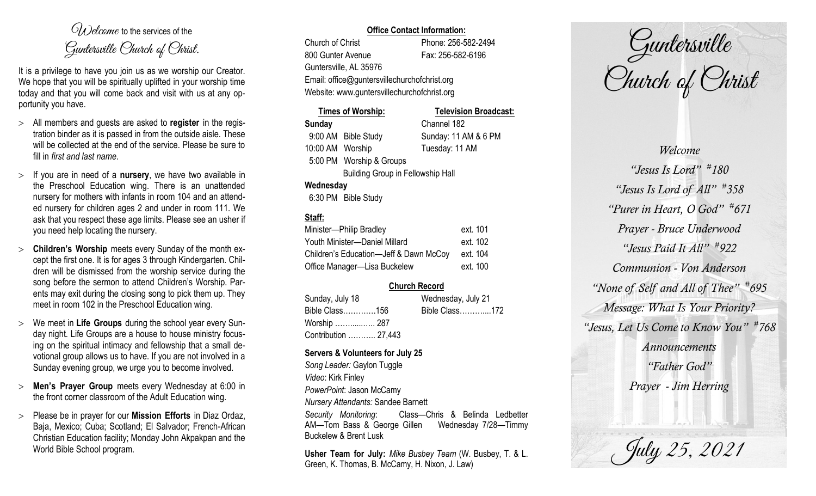$O(\lambda)$  elcame to the services of the Guntersville Church of Christ.

It is a privilege to have you join us as we worship our Creator. We hope that you will be spiritually uplifted in your worship time today and that you will come back and visit with us at any opportunity you have.

- All members and guests are asked to **register** in the registration binder as it is passed in from the outside aisle. These will be collected at the end of the service. Please be sure to fill in *first and last name*.
- $>$  If you are in need of a **nursery**, we have two available in the Preschool Education wing. There is an unattended nursery for mothers with infants in room 104 and an attended nursery for children ages 2 and under in room 111. We ask that you respect these age limits. Please see an usher if you need help locating the nursery.
- **Children's Worship** meets every Sunday of the month except the first one. It is for ages 3 through Kindergarten. Children will be dismissed from the worship service during the song before the sermon to attend Children's Worship. Parents may exit during the closing song to pick them up. They meet in room 102 in the Preschool Education wing.
- We meet in **Life Groups** during the school year every Sunday night. Life Groups are a house to house ministry focusing on the spiritual intimacy and fellowship that a small devotional group allows us to have. If you are not involved in a Sunday evening group, we urge you to become involved.
- **Men's Prayer Group** meets every Wednesday at 6:00 in the front corner classroom of the Adult Education wing.
- Please be in prayer for our **Mission Efforts** in Diaz Ordaz, Baja, Mexico; Cuba; Scotland; El Salvador; French-African Christian Education facility; Monday John Akpakpan and the World Bible School program.

## **Office Contact Information:**

Church of Christ Phone: 256-582-2494 800 Gunter Avenue Fax: 256-582-6196 Guntersville, AL 35976

Email: office@guntersvillechurchofchrist.org Website: www.guntersvillechurchofchrist.org

| Times of Worship:                        |                          | <b>Television Broadcast:</b> |  |  |
|------------------------------------------|--------------------------|------------------------------|--|--|
| <b>Sunday</b>                            |                          | Channel 182                  |  |  |
|                                          | 9:00 AM Bible Study      | Sunday: 11 AM & 6 PM         |  |  |
| 10:00 AM Worship                         |                          | Tuesday: 11 AM               |  |  |
|                                          | 5:00 PM Worship & Groups |                              |  |  |
| <b>Building Group in Fellowship Hall</b> |                          |                              |  |  |
| Wednesday                                |                          |                              |  |  |
|                                          |                          |                              |  |  |

#### 6:30 PM Bible Study

# **Staff:**

| Minister-Philip Bradley                | ext. 101 |
|----------------------------------------|----------|
| Youth Minister-Daniel Millard          | ext. 102 |
| Children's Education-Jeff & Dawn McCoy | ext. 104 |
| Office Manager-Lisa Buckelew           | ext. 100 |

## **Church Record**

| Sunday, July 18      | Wednesday, July 21 |  |
|----------------------|--------------------|--|
| Bible Class156       | Bible Class172     |  |
| Worship  287         |                    |  |
| Contribution  27,443 |                    |  |

#### **Servers & Volunteers for July 25**

*Song Leader:* Gaylon Tuggle *Video*: Kirk Finley *PowerPoint*: Jason McCamy *Nursery Attendants:* Sandee Barnett *Security Monitoring*: Class—Chris & Belinda Ledbetter AM—Tom Bass & George Gillen Wednesday 7/28—Timmy Buckelew & Brent Lusk

**Usher Team for July:** *Mike Busbey Team* (W. Busbey, T. & L. Green, K. Thomas, B. McCamy, H. Nixon, J. Law)

Guntersville Church of Christ

*Welcome "Jesus Is Lord" # 180 "Jesus Is Lord of All" # 358 "Purer in Heart, O God" # 671 Prayer - Bruce Underwood "Jesus Paid It All" # 922 Communion - Von Anderson "None of Self and All of Thee" # 695 Message: What Is Your Priority? "Jesus, Let Us Come to Know You" # 768 Announcements "Father God" Prayer - Jim Herring*

July 25, 2021